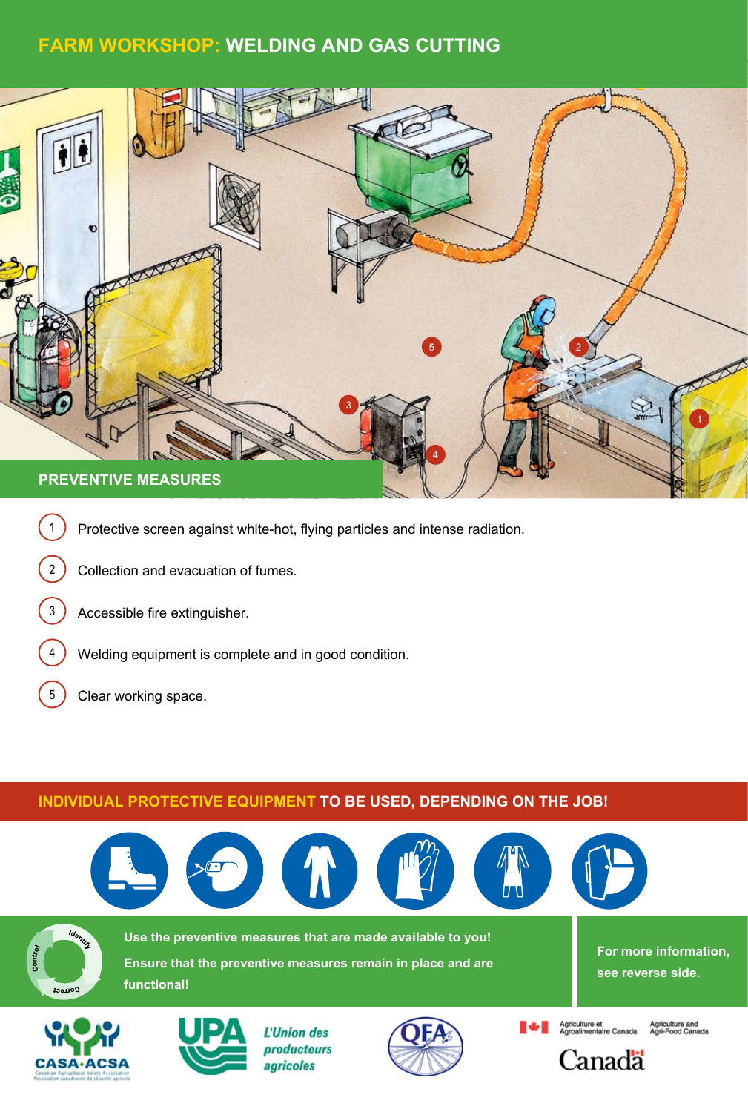# **Farm Workshop: Welding and Gas cutting**



- 1 Protective screen against white-hot, flying particles and intense radiation.
- 2 Collection and evacuation of fumes.
- 3 ) Accessible fire extinguisher.
- $\overline{4}$  Welding equipment is complete and in good condition. botte lunch.
- $\left(5\right)$  Clear working space.

tablier

## **Individual protective equipment to be used, depending on the job!**

botte lunette